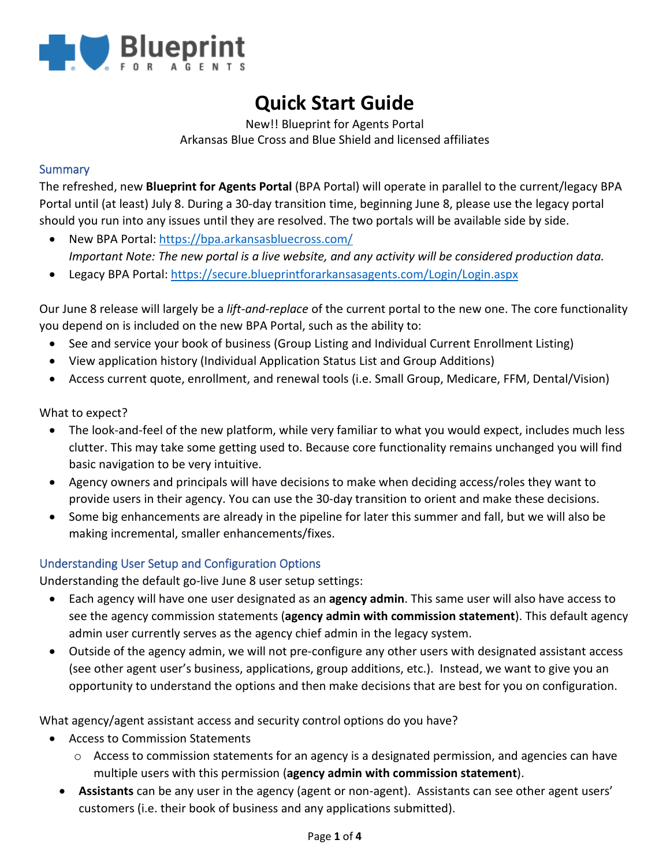

# **Quick Start Guide**

New!! Blueprint for Agents Portal Arkansas Blue Cross and Blue Shield and licensed affiliates

#### **Summary**

The refreshed, new **Blueprint for Agents Portal** (BPA Portal) will operate in parallel to the current/legacy BPA Portal until (at least) July 8. During a 30-day transition time, beginning June 8, please use the legacy portal should you run into any issues until they are resolved. The two portals will be available side by side.

- New BPA Portal:<https://bpa.arkansasbluecross.com/> *Important Note: The new portal is a live website, and any activity will be considered production data.*
- Legacy BPA Portal: <https://secure.blueprintforarkansasagents.com/Login/Login.aspx>

Our June 8 release will largely be a *lift-and-replace* of the current portal to the new one. The core functionality you depend on is included on the new BPA Portal, such as the ability to:

- See and service your book of business (Group Listing and Individual Current Enrollment Listing)
- View application history (Individual Application Status List and Group Additions)
- Access current quote, enrollment, and renewal tools (i.e. Small Group, Medicare, FFM, Dental/Vision)

#### What to expect?

- The look-and-feel of the new platform, while very familiar to what you would expect, includes much less clutter. This may take some getting used to. Because core functionality remains unchanged you will find basic navigation to be very intuitive.
- Agency owners and principals will have decisions to make when deciding access/roles they want to provide users in their agency. You can use the 30-day transition to orient and make these decisions.
- Some big enhancements are already in the pipeline for later this summer and fall, but we will also be making incremental, smaller enhancements/fixes.

## Understanding User Setup and Configuration Options

Understanding the default go-live June 8 user setup settings:

- Each agency will have one user designated as an **agency admin**. This same user will also have access to see the agency commission statements (**agency admin with commission statement**). This default agency admin user currently serves as the agency chief admin in the legacy system.
- Outside of the agency admin, we will not pre-configure any other users with designated assistant access (see other agent user's business, applications, group additions, etc.). Instead, we want to give you an opportunity to understand the options and then make decisions that are best for you on configuration.

What agency/agent assistant access and security control options do you have?

- Access to Commission Statements
	- o Access to commission statements for an agency is a designated permission, and agencies can have multiple users with this permission (**agency admin with commission statement**).
	- **Assistants** can be any user in the agency (agent or non-agent). Assistants can see other agent users' customers (i.e. their book of business and any applications submitted).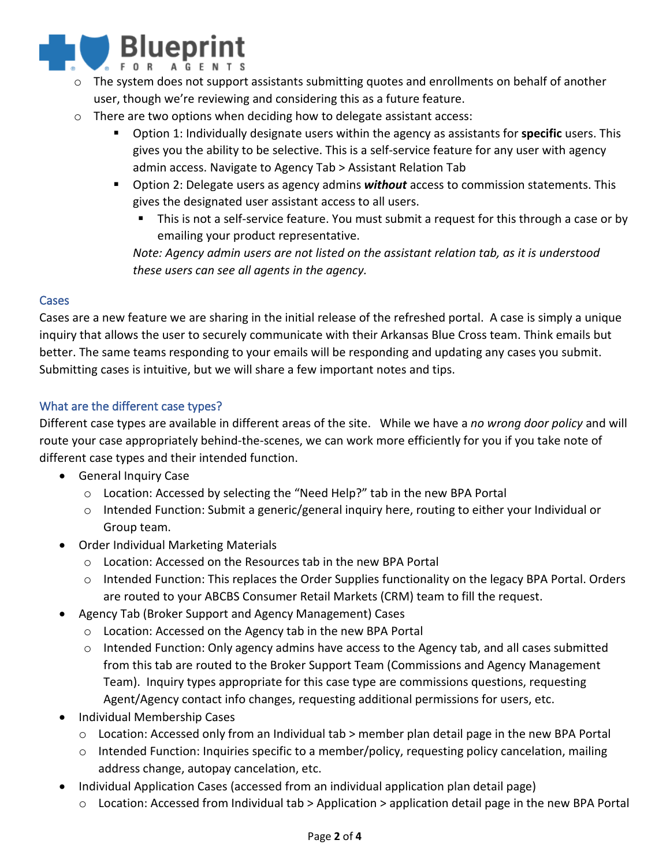

- $\circ$  The system does not support assistants submitting quotes and enrollments on behalf of another user, though we're reviewing and considering this as a future feature.
- o There are two options when deciding how to delegate assistant access:
	- Option 1: Individually designate users within the agency as assistants for **specific** users. This gives you the ability to be selective. This is a self-service feature for any user with agency admin access. Navigate to Agency Tab > Assistant Relation Tab
	- Option 2: Delegate users as agency admins *without* access to commission statements. This gives the designated user assistant access to all users.
		- This is not a self-service feature. You must submit a request for this through a case or by emailing your product representative.

*Note: Agency admin users are not listed on the assistant relation tab, as it is understood these users can see all agents in the agency.*

#### Cases

Cases are a new feature we are sharing in the initial release of the refreshed portal. A case is simply a unique inquiry that allows the user to securely communicate with their Arkansas Blue Cross team. Think emails but better. The same teams responding to your emails will be responding and updating any cases you submit. Submitting cases is intuitive, but we will share a few important notes and tips.

## What are the different case types?

Different case types are available in different areas of the site. While we have a *no wrong door policy* and will route your case appropriately behind-the-scenes, we can work more efficiently for you if you take note of different case types and their intended function.

- General Inquiry Case
	- o Location: Accessed by selecting the "Need Help?" tab in the new BPA Portal
	- o Intended Function: Submit a generic/general inquiry here, routing to either your Individual or Group team.
- Order Individual Marketing Materials
	- $\circ$  Location: Accessed on the Resources tab in the new BPA Portal
	- $\circ$  Intended Function: This replaces the Order Supplies functionality on the legacy BPA Portal. Orders are routed to your ABCBS Consumer Retail Markets (CRM) team to fill the request.
- Agency Tab (Broker Support and Agency Management) Cases
	- o Location: Accessed on the Agency tab in the new BPA Portal
	- $\circ$  Intended Function: Only agency admins have access to the Agency tab, and all cases submitted from this tab are routed to the Broker Support Team (Commissions and Agency Management Team). Inquiry types appropriate for this case type are commissions questions, requesting Agent/Agency contact info changes, requesting additional permissions for users, etc.
- Individual Membership Cases
	- o Location: Accessed only from an Individual tab > member plan detail page in the new BPA Portal
	- o Intended Function: Inquiries specific to a member/policy, requesting policy cancelation, mailing address change, autopay cancelation, etc.
- Individual Application Cases (accessed from an individual application plan detail page)
	- $\circ$  Location: Accessed from Individual tab > Application > application detail page in the new BPA Portal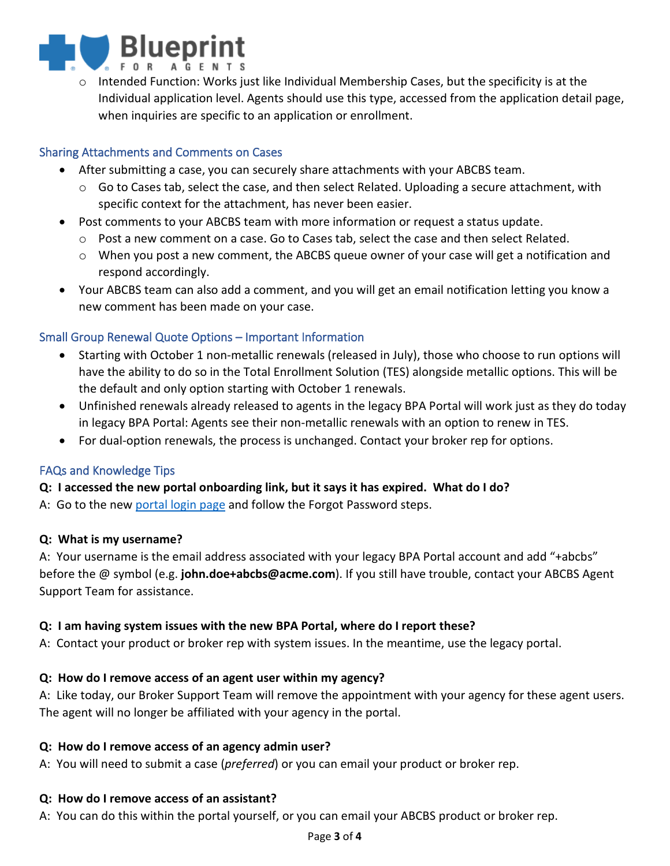

o Intended Function: Works just like Individual Membership Cases, but the specificity is at the Individual application level. Agents should use this type, accessed from the application detail page, when inquiries are specific to an application or enrollment.

## Sharing Attachments and Comments on Cases

- After submitting a case, you can securely share attachments with your ABCBS team.
	- $\circ$  Go to Cases tab, select the case, and then select Related. Uploading a secure attachment, with specific context for the attachment, has never been easier.
- Post comments to your ABCBS team with more information or request a status update.
	- $\circ$  Post a new comment on a case. Go to Cases tab, select the case and then select Related.
	- $\circ$  When you post a new comment, the ABCBS queue owner of your case will get a notification and respond accordingly.
- Your ABCBS team can also add a comment, and you will get an email notification letting you know a new comment has been made on your case.

# Small Group Renewal Quote Options – Important Information

- Starting with October 1 non-metallic renewals (released in July), those who choose to run options will have the ability to do so in the Total Enrollment Solution (TES) alongside metallic options. This will be the default and only option starting with October 1 renewals.
- Unfinished renewals already released to agents in the legacy BPA Portal will work just as they do today in legacy BPA Portal: Agents see their non-metallic renewals with an option to renew in TES.
- For dual-option renewals, the process is unchanged. Contact your broker rep for options.

## FAQs and Knowledge Tips

## **Q: I accessed the new portal onboarding link, but it says it has expired. What do I do?**

A: Go to the new [portal login page](https://bpa.arkansasbluecross.com/) and follow the Forgot Password steps.

## **Q: What is my username?**

A: Your username is the email address associated with your legacy BPA Portal account and add "+abcbs" before the @ symbol (e.g. **john.doe+abcbs@acme.com**). If you still have trouble, contact your ABCBS Agent Support Team for assistance.

## **Q: I am having system issues with the new BPA Portal, where do I report these?**

A: Contact your product or broker rep with system issues. In the meantime, use the legacy portal.

## **Q: How do I remove access of an agent user within my agency?**

A: Like today, our Broker Support Team will remove the appointment with your agency for these agent users. The agent will no longer be affiliated with your agency in the portal.

## **Q: How do I remove access of an agency admin user?**

A: You will need to submit a case (*preferred*) or you can email your product or broker rep.

## **Q: How do I remove access of an assistant?**

A: You can do this within the portal yourself, or you can email your ABCBS product or broker rep.